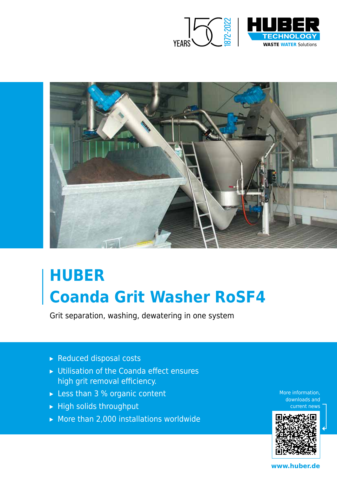



# **HUBER Coanda Grit Washer RoSF4**

Grit separation, washing, dewatering in one system

- ▸ Reduced disposal costs
- ▸ Utilisation of the Coanda effect ensures high grit removal efficiency.
- ► Less than 3 % organic content
- ▸ High solids throughput
- ▸ More than 2,000 installations worldwide

More information, downloads and current news



**www.huber.de**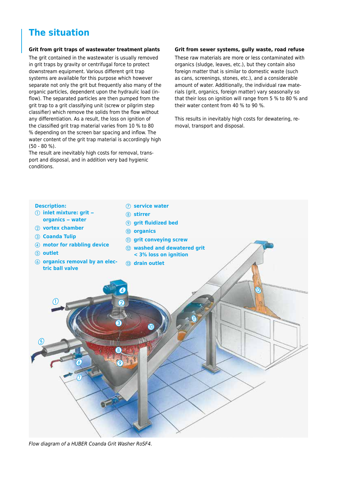## **The situation**

#### **Grit from grit traps of wastewater treatment plants**

The grit contained in the wastewater is usually removed in grit traps by gravity or centrifugal force to protect downstream equipment. Various different grit trap systems are available for this purpose which however separate not only the grit but frequently also many of the organic particles, dependent upon the hydraulic load (inflow). The separated particles are then pumped from the grit trap to a grit classifying unit (screw or pilgrim step classifier) which remove the solids from the flow without any differentiation. As a result, the loss on ignition of the classified grit trap material varies from 10 % to 80 % depending on the screen bar spacing and inflow. The water content of the grit trap material is accordingly high (50 - 80 %).

The result are inevitably high costs for removal, transport and disposal, and in addition very bad hygienic conditions.

#### **Grit from sewer systems, gully waste, road refuse**

These raw materials are more or less contaminated with organics (sludge, leaves, etc.), but they contain also foreign matter that is similar to domestic waste (such as cans, screenings, stones, etc.), and a considerable amount of water. Additionally, the individual raw materials (grit, organics, foreign matter) vary seasonally so that their loss on ignition will range from 5 % to 80 % and their water content from 40 % to 90 %.

This results in inevitably high costs for dewatering, removal, transport and disposal.



*Flow diagram of a HUBER Coanda Grit Washer RoSF4.*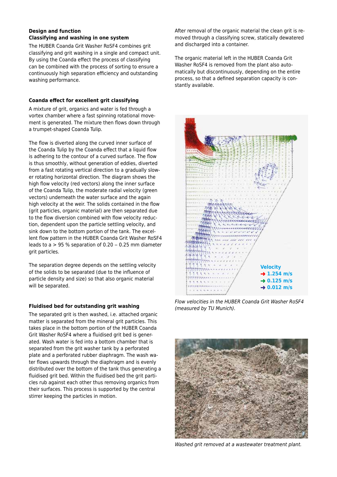#### **Design and function Classifying and washing in one system**

The HUBER Coanda Grit Washer RoSF4 combines grit classifying and grit washing in a single and compact unit. By using the Coanda effect the process of classifying can be combined with the process of sorting to ensure a continuously high separation efficiency and outstanding washing performance.

#### **Coanda effect for excellent grit classifying**

A mixture of grit, organics and water is fed through a vortex chamber where a fast spinning rotational movement is generated. The mixture then flows down through a trumpet-shaped Coanda Tulip.

The flow is diverted along the curved inner surface of the Coanda Tulip by the Coanda effect that a liquid flow is adhering to the contour of a curved surface. The flow is thus smoothly, without generation of eddies, diverted from a fast rotating vertical direction to a gradually slower rotating horizontal direction. The diagram shows the high flow velocity (red vectors) along the inner surface of the Coanda Tulip, the moderate radial velocity (green vectors) underneath the water surface and the again high velocity at the weir. The solids contained in the flow (grit particles, organic material) are then separated due to the flow diversion combined with flow velocity reduction, dependent upon the particle settling velocity, and sink down to the bottom portion of the tank. The excellent flow pattern in the HUBER Coanda Grit Washer RoSF4 leads to  $a > 95$  % separation of 0.20 – 0.25 mm diameter grit particles.

The separation degree depends on the settling velocity of the solids to be separated (due to the influence of particle density and size) so that also organic material will be separated.

#### **Fluidised bed for outstanding grit washing**

The separated grit is then washed, i.e. attached organic matter is separated from the mineral grit particles. This takes place in the bottom portion of the HUBER Coanda Grit Washer RoSF4 where a fluidised grit bed is generated. Wash water is fed into a bottom chamber that is separated from the grit washer tank by a perforated plate and a perforated rubber diaphragm. The wash water flows upwards through the diaphragm and is evenly distributed over the bottom of the tank thus generating a fluidised grit bed. Within the fluidised bed the grit particles rub against each other thus removing organics from their surfaces. This process is supported by the central stirrer keeping the particles in motion.

After removal of the organic material the clean grit is removed through a classifying screw, statically dewatered and discharged into a container.

The organic material left in the HUBER Coanda Grit Washer RoSF4 is removed from the plant also automatically but discontinuously, depending on the entire process, so that a defined separation capacity is constantly available.



*Flow velocities in the HUBER Coanda Grit Washer RoSF4 (measured by TU Munich).*



*Washed grit removed at a wastewater treatment plant.*